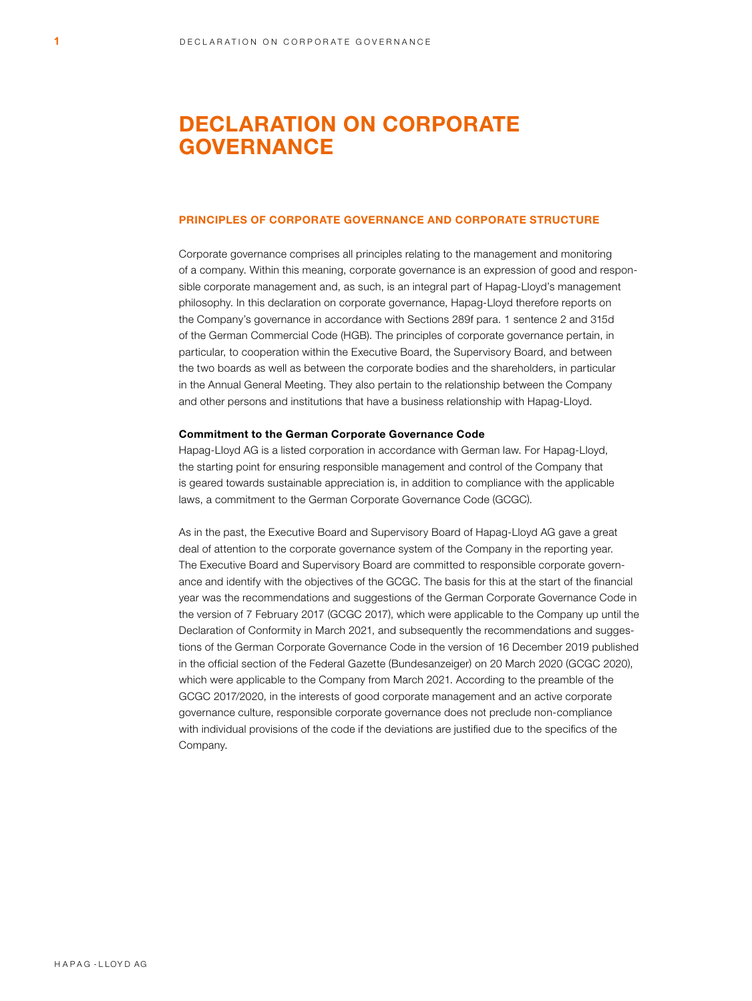# DECLARATION ON CORPORATE GOVERNANCE

## PRINCIPLES OF CORPORATE GOVERNANCE AND CORPORATE STRUCTURE

Corporate governance comprises all principles relating to the management and monitoring of a company. Within this meaning, corporate governance is an expression of good and responsible corporate management and, as such, is an integral part of Hapag-Lloyd's management philosophy. In this declaration on corporate governance, Hapag-Lloyd therefore reports on the Company's governance in accordance with Sections 289f para. 1 sentence 2 and 315d of the German Commercial Code (HGB). The principles of corporate governance pertain, in particular, to cooperation within the Executive Board, the Supervisory Board, and between the two boards as well as between the corporate bodies and the shareholders, in particular in the Annual General Meeting. They also pertain to the relationship between the Company and other persons and institutions that have a business relationship with Hapag-Lloyd.

## Commitment to the German Corporate Governance Code

Hapag-Lloyd AG is a listed corporation in accordance with German law. For Hapag-Lloyd, the starting point for ensuring responsible management and control of the Company that is geared towards sustainable appreciation is, in addition to compliance with the applicable laws, a commitment to the German Corporate Governance Code (GCGC).

As in the past, the Executive Board and Supervisory Board of Hapag-Lloyd AG gave a great deal of attention to the corporate governance system of the Company in the reporting year. The Executive Board and Supervisory Board are committed to responsible corporate governance and identify with the objectives of the GCGC. The basis for this at the start of the financial year was the recommendations and suggestions of the German Corporate Governance Code in the version of 7 February 2017 (GCGC 2017), which were applicable to the Company up until the Declaration of Conformity in March 2021, and subsequently the recommendations and suggestions of the German Corporate Governance Code in the version of 16 December 2019 published in the official section of the Federal Gazette (Bundesanzeiger) on 20 March 2020 (GCGC 2020), which were applicable to the Company from March 2021. According to the preamble of the GCGC 2017/2020, in the interests of good corporate management and an active corporate governance culture, responsible corporate governance does not preclude non-compliance with individual provisions of the code if the deviations are justified due to the specifics of the Company.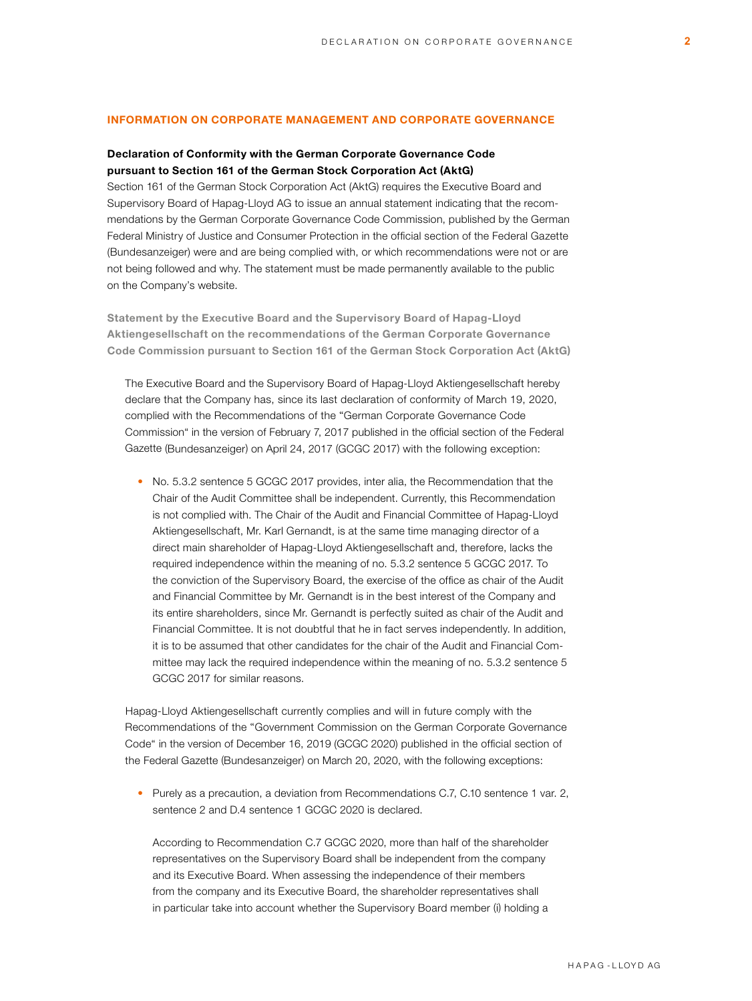# INFORMATION ON CORPORATE MANAGEMENT AND CORPORATE GOVERNANCE

# Declaration of Conformity with the German Corporate Governance Code pursuant to Section 161 of the German Stock Corporation Act (AktG)

Section 161 of the German Stock Corporation Act (AktG) requires the Executive Board and Supervisory Board of Hapag-Lloyd AG to issue an annual statement indicating that the recommendations by the German Corporate Governance Code Commission, published by the German Federal Ministry of Justice and Consumer Protection in the official section of the Federal Gazette (Bundesanzeiger) were and are being complied with, or which recommendations were not or are not being followed and why. The statement must be made permanently available to the public on the Company's website.

Statement by the Executive Board and the Supervisory Board of Hapag-Lloyd Aktiengesellschaft on the recommendations of the German Corporate Governance Code Commission pursuant to Section 161 of the German Stock Corporation Act (AktG)

The Executive Board and the Supervisory Board of Hapag-Lloyd Aktiengesellschaft hereby declare that the Company has, since its last declaration of conformity of March 19, 2020, complied with the Recommendations of the "German Corporate Governance Code Commission" in the version of February 7, 2017 published in the official section of the Federal Gazette (Bundesanzeiger) on April 24, 2017 (GCGC 2017) with the following exception:

• No. 5.3.2 sentence 5 GCGC 2017 provides, inter alia, the Recommendation that the Chair of the Audit Committee shall be independent. Currently, this Recommendation is not complied with. The Chair of the Audit and Financial Committee of Hapag-Lloyd Aktiengesellschaft, Mr. Karl Gernandt, is at the same time managing director of a direct main shareholder of Hapag-Lloyd Aktiengesellschaft and, therefore, lacks the required independence within the meaning of no. 5.3.2 sentence 5 GCGC 2017. To the conviction of the Supervisory Board, the exercise of the office as chair of the Audit and Financial Committee by Mr. Gernandt is in the best interest of the Company and its entire shareholders, since Mr. Gernandt is perfectly suited as chair of the Audit and Financial Committee. It is not doubtful that he in fact serves independently. In addition, it is to be assumed that other candidates for the chair of the Audit and Financial Committee may lack the required independence within the meaning of no. 5.3.2 sentence 5 GCGC 2017 for similar reasons.

Hapag-Lloyd Aktiengesellschaft currently complies and will in future comply with the Recommendations of the "Government Commission on the German Corporate Governance Code" in the version of December 16, 2019 (GCGC 2020) published in the official section of the Federal Gazette (Bundesanzeiger) on March 20, 2020, with the following exceptions:

• Purely as a precaution, a deviation from Recommendations C.7, C.10 sentence 1 var. 2, sentence 2 and D.4 sentence 1 GCGC 2020 is declared.

According to Recommendation C.7 GCGC 2020, more than half of the shareholder representatives on the Supervisory Board shall be independent from the company and its Executive Board. When assessing the independence of their members from the company and its Executive Board, the shareholder representatives shall in particular take into account whether the Supervisory Board member (i) holding a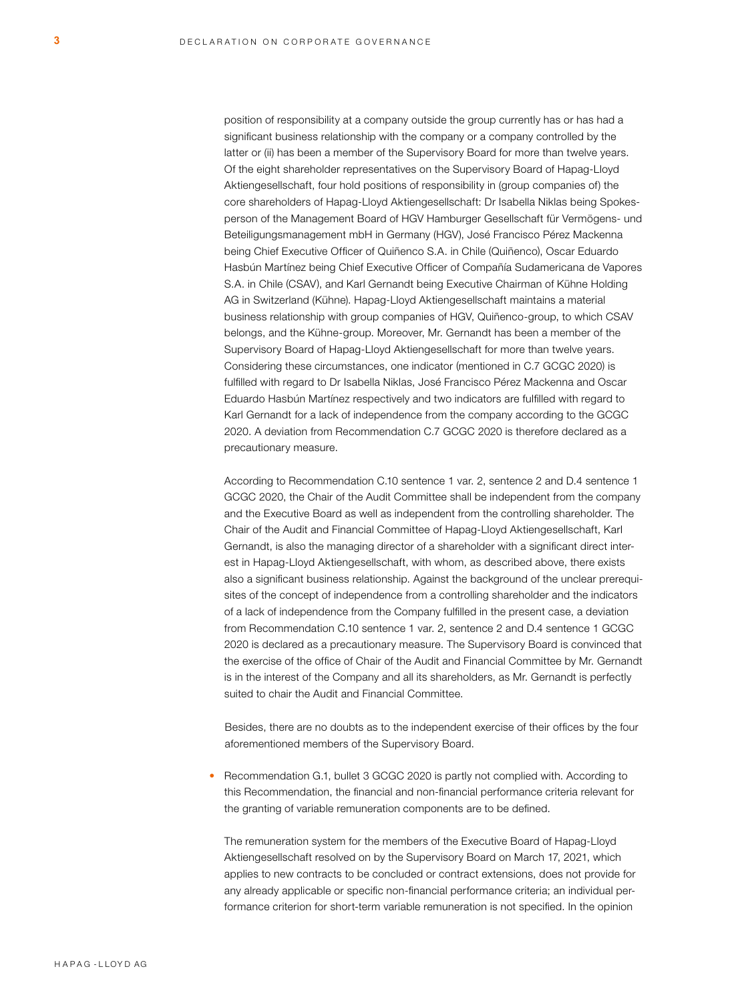position of responsibility at a company outside the group currently has or has had a significant business relationship with the company or a company controlled by the latter or (ii) has been a member of the Supervisory Board for more than twelve years. Of the eight shareholder representatives on the Supervisory Board of Hapag-Lloyd Aktiengesellschaft, four hold positions of responsibility in (group companies of) the core shareholders of Hapag-Lloyd Aktiengesellschaft: Dr Isabella Niklas being Spokesperson of the Management Board of HGV Hamburger Gesellschaft für Vermögens- und Beteiligungsmanagement mbH in Germany (HGV), José Francisco Pérez Mackenna being Chief Executive Officer of Quiñenco S.A. in Chile (Quiñenco), Oscar Eduardo Hasbún Martínez being Chief Executive Officer of Compañía Sudamericana de Vapores S.A. in Chile (CSAV), and Karl Gernandt being Executive Chairman of Kühne Holding AG in Switzerland (Kühne). Hapag-Lloyd Aktiengesellschaft maintains a material business relationship with group companies of HGV, Quiñenco-group, to which CSAV belongs, and the Kühne-group. Moreover, Mr. Gernandt has been a member of the Supervisory Board of Hapag-Lloyd Aktiengesellschaft for more than twelve years. Considering these circumstances, one indicator (mentioned in C.7 GCGC 2020) is fulfilled with regard to Dr Isabella Niklas, José Francisco Pérez Mackenna and Oscar Eduardo Hasbún Martínez respectively and two indicators are fulfilled with regard to Karl Gernandt for a lack of independence from the company according to the GCGC 2020. A deviation from Recommendation C.7 GCGC 2020 is therefore declared as a precautionary measure.

According to Recommendation C.10 sentence 1 var. 2, sentence 2 and D.4 sentence 1 GCGC 2020, the Chair of the Audit Committee shall be independent from the company and the Executive Board as well as independent from the controlling shareholder. The Chair of the Audit and Financial Committee of Hapag-Lloyd Aktiengesellschaft, Karl Gernandt, is also the managing director of a shareholder with a significant direct interest in Hapag-Lloyd Aktiengesellschaft, with whom, as described above, there exists also a significant business relationship. Against the background of the unclear prerequisites of the concept of independence from a controlling shareholder and the indicators of a lack of independence from the Company fulfilled in the present case, a deviation from Recommendation C.10 sentence 1 var. 2, sentence 2 and D.4 sentence 1 GCGC 2020 is declared as a precautionary measure. The Supervisory Board is convinced that the exercise of the office of Chair of the Audit and Financial Committee by Mr. Gernandt is in the interest of the Company and all its shareholders, as Mr. Gernandt is perfectly suited to chair the Audit and Financial Committee.

Besides, there are no doubts as to the independent exercise of their offices by the four aforementioned members of the Supervisory Board.

• Recommendation G.1, bullet 3 GCGC 2020 is partly not complied with. According to this Recommendation, the financial and non-financial performance criteria relevant for the granting of variable remuneration components are to be defined.

The remuneration system for the members of the Executive Board of Hapag-Lloyd Aktiengesellschaft resolved on by the Supervisory Board on March 17, 2021, which applies to new contracts to be concluded or contract extensions, does not provide for any already applicable or specific non-financial performance criteria; an individual performance criterion for short-term variable remuneration is not specified. In the opinion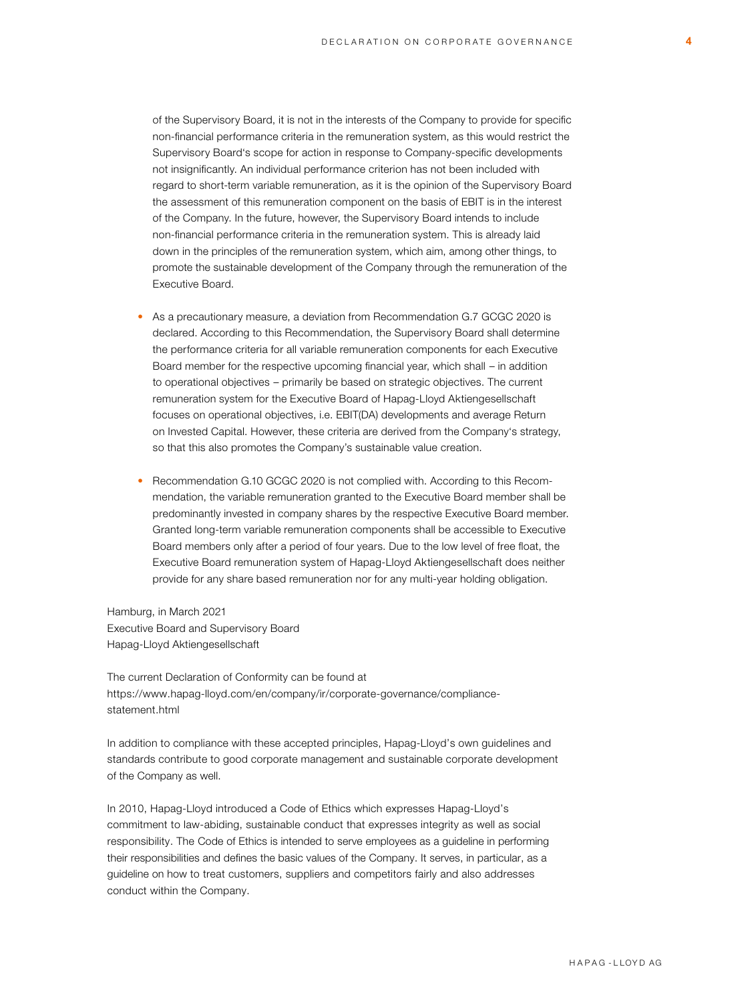of the Supervisory Board, it is not in the interests of the Company to provide for specific non-financial performance criteria in the remuneration system, as this would restrict the Supervisory Board's scope for action in response to Company-specific developments not insignificantly. An individual performance criterion has not been included with regard to short-term variable remuneration, as it is the opinion of the Supervisory Board the assessment of this remuneration component on the basis of EBIT is in the interest of the Company. In the future, however, the Supervisory Board intends to include non-financial performance criteria in the remuneration system. This is already laid down in the principles of the remuneration system, which aim, among other things, to promote the sustainable development of the Company through the remuneration of the Executive Board.

- As a precautionary measure, a deviation from Recommendation G.7 GCGC 2020 is declared. According to this Recommendation, the Supervisory Board shall determine the performance criteria for all variable remuneration components for each Executive Board member for the respective upcoming financial year, which shall – in addition to operational objectives - primarily be based on strategic objectives. The current remuneration system for the Executive Board of Hapag-Lloyd Aktiengesellschaft focuses on operational objectives, i.e. EBIT(DA) developments and average Return on Invested Capital. However, these criteria are derived from the Company's strategy, so that this also promotes the Company's sustainable value creation.
- Recommendation G.10 GCGC 2020 is not complied with. According to this Recommendation, the variable remuneration granted to the Executive Board member shall be predominantly invested in company shares by the respective Executive Board member. Granted long-term variable remuneration components shall be accessible to Executive Board members only after a period of four years. Due to the low level of free float, the Executive Board remuneration system of Hapag-Lloyd Aktiengesellschaft does neither provide for any share based remuneration nor for any multi-year holding obligation.

Hamburg, in March 2021 Executive Board and Supervisory Board Hapag-Lloyd Aktiengesellschaft

The current Declaration of Conformity can be found at [https://www.hapag-lloyd.com/en/company/ir/corporate-governance/compliance](https://www.hapag-lloyd.com/en/company/ir/corporate-governance/compliance-statement.html)statement.html

In addition to compliance with these accepted principles, Hapag-Lloyd's own guidelines and standards contribute to good corporate management and sustainable corporate development of the Company as well.

In 2010, Hapag-Lloyd introduced a Code of Ethics which expresses Hapag-Lloyd's commitment to law-abiding, sustainable conduct that expresses integrity as well as social responsibility. The Code of Ethics is intended to serve employees as a guideline in performing their responsibilities and defines the basic values of the Company. It serves, in particular, as a guideline on how to treat customers, suppliers and competitors fairly and also addresses conduct within the Company.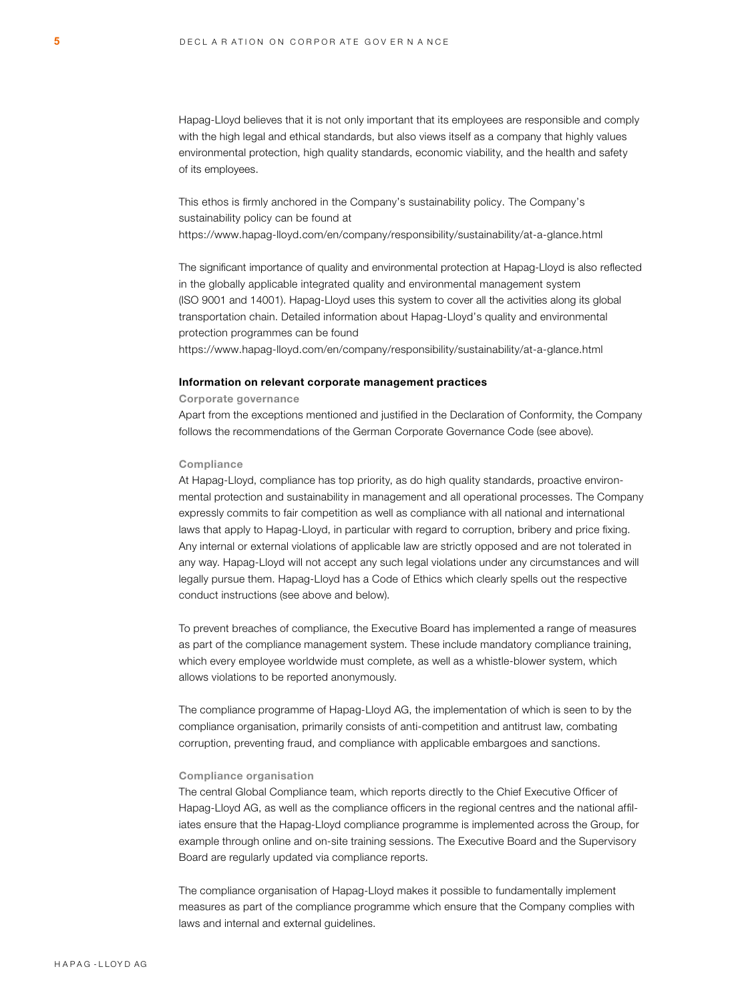Hapag-Lloyd believes that it is not only important that its employees are responsible and comply with the high legal and ethical standards, but also views itself as a company that highly values environmental protection, high quality standards, economic viability, and the health and safety of its employees.

This ethos is firmly anchored in the Company's sustainability policy. The Company's sustainability policy can be found at <https://www.hapag-lloyd.com/en/company/responsibility/sustainability/at-a-glance.html>

The significant importance of quality and environmental protection at Hapag-Lloyd is also reflected in the globally applicable integrated quality and environmental management system (ISO 9001 and 14001). Hapag-Lloyd uses this system to cover all the activities along its global transportation chain. Detailed information about Hapag-Lloyd's quality and environmental protection programmes can be found

<https://www.hapag-lloyd.com/en/company/responsibility/sustainability/at-a-glance.html>

#### Information on relevant corporate management practices

#### Corporate governance

Apart from the exceptions mentioned and justified in the Declaration of Conformity, the Company follows the recommendations of the German Corporate Governance Code (see above).

#### **Compliance**

At Hapag-Lloyd, compliance has top priority, as do high quality standards, proactive environmental protection and sustainability in management and all operational processes. The Company expressly commits to fair competition as well as compliance with all national and international laws that apply to Hapag-Lloyd, in particular with regard to corruption, bribery and price fixing. Any internal or external violations of applicable law are strictly opposed and are not tolerated in any way. Hapag-Lloyd will not accept any such legal violations under any circumstances and will legally pursue them. Hapag-Lloyd has a Code of Ethics which clearly spells out the respective conduct instructions (see above and below).

To prevent breaches of compliance, the Executive Board has implemented a range of measures as part of the compliance management system. These include mandatory compliance training, which every employee worldwide must complete, as well as a whistle-blower system, which allows violations to be reported anonymously.

The compliance programme of Hapag-Lloyd AG, the implementation of which is seen to by the compliance organisation, primarily consists of anti-competition and antitrust law, combating corruption, preventing fraud, and compliance with applicable embargoes and sanctions.

#### Compliance organisation

The central Global Compliance team, which reports directly to the Chief Executive Officer of Hapag-Lloyd AG, as well as the compliance officers in the regional centres and the national affiliates ensure that the Hapag-Lloyd compliance programme is implemented across the Group, for example through online and on-site training sessions. The Executive Board and the Supervisory Board are regularly updated via compliance reports.

The compliance organisation of Hapag-Lloyd makes it possible to fundamentally implement measures as part of the compliance programme which ensure that the Company complies with laws and internal and external guidelines.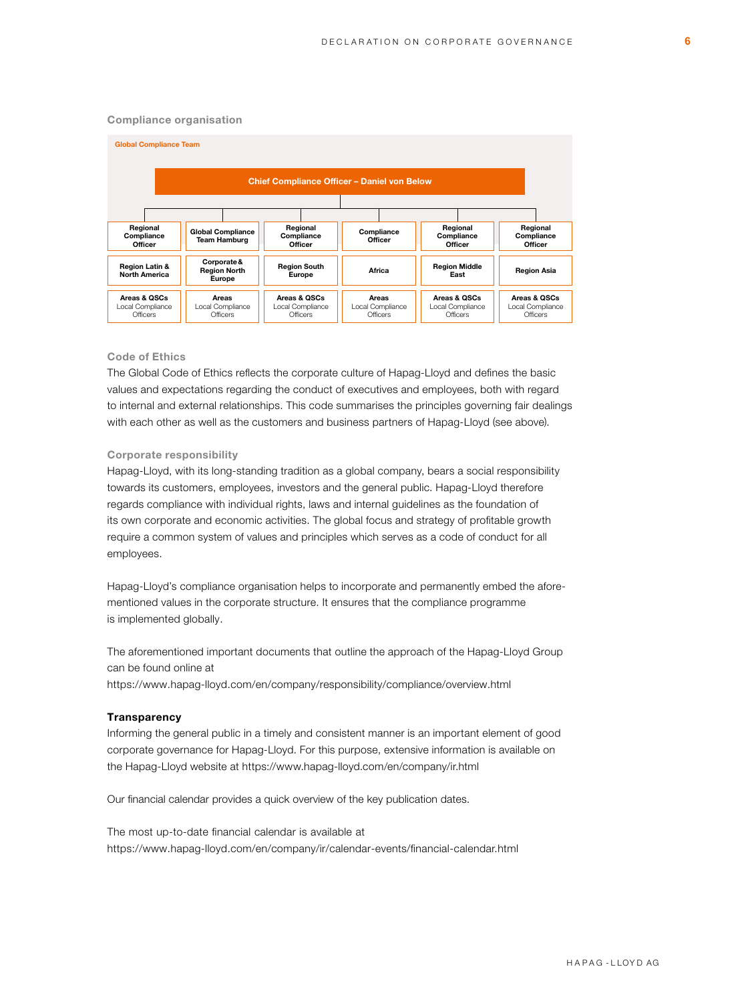#### Compliance organisation



## Code of Ethics

The Global Code of Ethics reflects the corporate culture of Hapag-Lloyd and defines the basic values and expectations regarding the conduct of executives and employees, both with regard to internal and external relationships. This code summarises the principles governing fair dealings with each other as well as the customers and business partners of Hapag-Lloyd (see above).

# Corporate responsibility

Hapag-Lloyd, with its long-standing tradition as a global company, bears a social responsibility towards its customers, employees, investors and the general public. Hapag-Lloyd therefore regards compliance with individual rights, laws and internal guidelines as the foundation of its own corporate and economic activities. The global focus and strategy of profitable growth require a common system of values and principles which serves as a code of conduct for all employees.

Hapag-Lloyd's compliance organisation helps to incorporate and permanently embed the aforementioned values in the corporate structure. It ensures that the compliance programme is implemented globally.

The aforementioned important documents that outline the approach of the Hapag-Lloyd Group can be found online at

<https://www.hapag-lloyd.com/en/company/responsibility/compliance/overview.html>

#### **Transparency**

Informing the general public in a timely and consistent manner is an important element of good corporate governance for Hapag-Lloyd. For this purpose, extensive information is available on the Hapag-Lloyd website at<https://www.hapag-lloyd.com/en/company/ir.html>

Our financial calendar provides a quick overview of the key publication dates.

The most up-to-date financial calendar is available at <https://www.hapag-lloyd.com/en/company/ir/calendar-events/financial-calendar.html>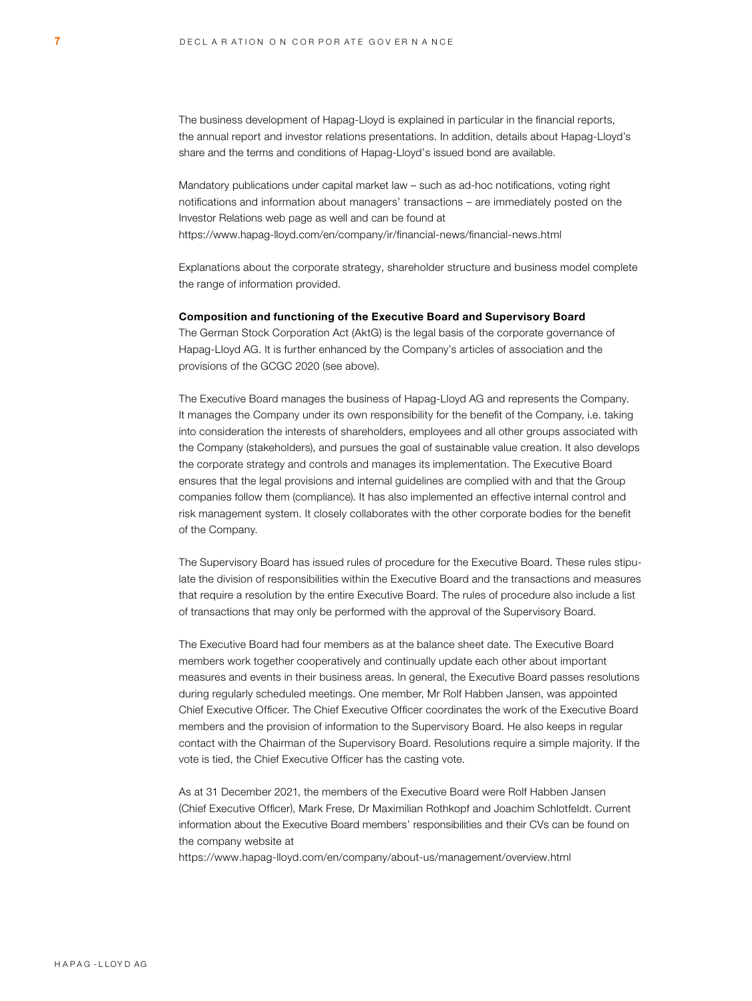The business development of Hapag-Lloyd is explained in particular in the financial reports, the annual report and investor relations presentations. In addition, details about Hapag-Lloyd's share and the terms and conditions of Hapag-Lloyd's issued bond are available.

Mandatory publications under capital market law – such as ad-hoc notifications, voting right notifications and information about managers' transactions – are immediately posted on the Investor Relations web page as well and can be found at <https://www.hapag-lloyd.com/en/company/ir/financial-news/financial-news.html>

Explanations about the corporate strategy, shareholder structure and business model complete the range of information provided.

#### Composition and functioning of the Executive Board and Supervisory Board

The German Stock Corporation Act (AktG) is the legal basis of the corporate governance of Hapag-Lloyd AG. It is further enhanced by the Company's articles of association and the provisions of the GCGC 2020 (see above).

The Executive Board manages the business of Hapag-Lloyd AG and represents the Company. It manages the Company under its own responsibility for the benefit of the Company, i.e. taking into consideration the interests of shareholders, employees and all other groups associated with the Company (stakeholders), and pursues the goal of sustainable value creation. It also develops the corporate strategy and controls and manages its implementation. The Executive Board ensures that the legal provisions and internal guidelines are complied with and that the Group companies follow them (compliance). It has also implemented an effective internal control and risk management system. It closely collaborates with the other corporate bodies for the benefit of the Company.

The Supervisory Board has issued rules of procedure for the Executive Board. These rules stipulate the division of responsibilities within the Executive Board and the transactions and measures that require a resolution by the entire Executive Board. The rules of procedure also include a list of transactions that may only be performed with the approval of the Supervisory Board.

The Executive Board had four members as at the balance sheet date. The Executive Board members work together cooperatively and continually update each other about important measures and events in their business areas. In general, the Executive Board passes resolutions during regularly scheduled meetings. One member, Mr Rolf Habben Jansen, was appointed Chief Executive Officer. The Chief Executive Officer coordinates the work of the Executive Board members and the provision of information to the Supervisory Board. He also keeps in regular contact with the Chairman of the Supervisory Board. Resolutions require a simple majority. If the vote is tied, the Chief Executive Officer has the casting vote.

As at 31 December 2021, the members of the Executive Board were Rolf Habben Jansen (Chief Executive Officer), Mark Frese, Dr Maximilian Rothkopf and Joachim Schlotfeldt. Current information about the Executive Board members' responsibilities and their CVs can be found on the company website at

<https://www.hapag-lloyd.com/en/company/about-us/management/overview.html>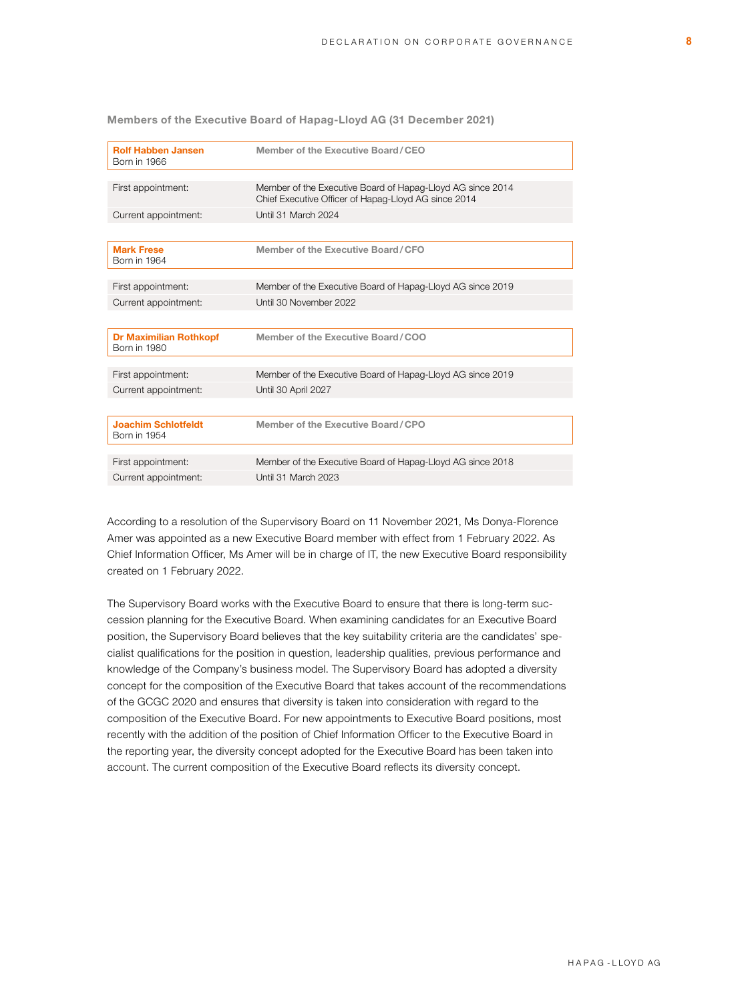Members of the Executive Board of Hapag-Lloyd AG (31 December 2021)

| <b>Rolf Habben Jansen</b><br><b>Born in 1966</b> | Member of the Executive Board/CEO                                                                                  |
|--------------------------------------------------|--------------------------------------------------------------------------------------------------------------------|
|                                                  |                                                                                                                    |
| First appointment:                               | Member of the Executive Board of Hapag-Lloyd AG since 2014<br>Chief Executive Officer of Hapag-Lloyd AG since 2014 |
| Current appointment:                             | Until 31 March 2024                                                                                                |
|                                                  |                                                                                                                    |
| <b>Mark Frese</b><br>Born in 1964                | Member of the Executive Board/CFO                                                                                  |
|                                                  |                                                                                                                    |
| First appointment:                               | Member of the Executive Board of Hapag-Lloyd AG since 2019                                                         |
| Current appointment:                             | Until 30 November 2022                                                                                             |
|                                                  |                                                                                                                    |
| <b>Dr Maximilian Rothkopf</b><br>Born in 1980    | Member of the Executive Board/COO                                                                                  |
|                                                  |                                                                                                                    |
| First appointment:                               | Member of the Executive Board of Hapag-Lloyd AG since 2019                                                         |
| Current appointment:                             | Until 30 April 2027                                                                                                |
|                                                  |                                                                                                                    |
| <b>Joachim Schlotfeldt</b><br>Born in 1954       | Member of the Executive Board/CPO                                                                                  |
|                                                  |                                                                                                                    |
| First appointment:                               | Member of the Executive Board of Hapag-Lloyd AG since 2018                                                         |
| Current appointment:                             | Until 31 March 2023                                                                                                |

According to a resolution of the Supervisory Board on 11 November 2021, Ms Donya-Florence Amer was appointed as a new Executive Board member with effect from 1 February 2022. As Chief Information Officer, Ms Amer will be in charge of IT, the new Executive Board responsibility created on 1 February 2022.

The Supervisory Board works with the Executive Board to ensure that there is long-term succession planning for the Executive Board. When examining candidates for an Executive Board position, the Supervisory Board believes that the key suitability criteria are the candidates' specialist qualifications for the position in question, leadership qualities, previous performance and knowledge of the Company's business model. The Supervisory Board has adopted a diversity concept for the composition of the Executive Board that takes account of the recommendations of the GCGC 2020 and ensures that diversity is taken into consideration with regard to the composition of the Executive Board. For new appointments to Executive Board positions, most recently with the addition of the position of Chief Information Officer to the Executive Board in the reporting year, the diversity concept adopted for the Executive Board has been taken into account. The current composition of the Executive Board reflects its diversity concept.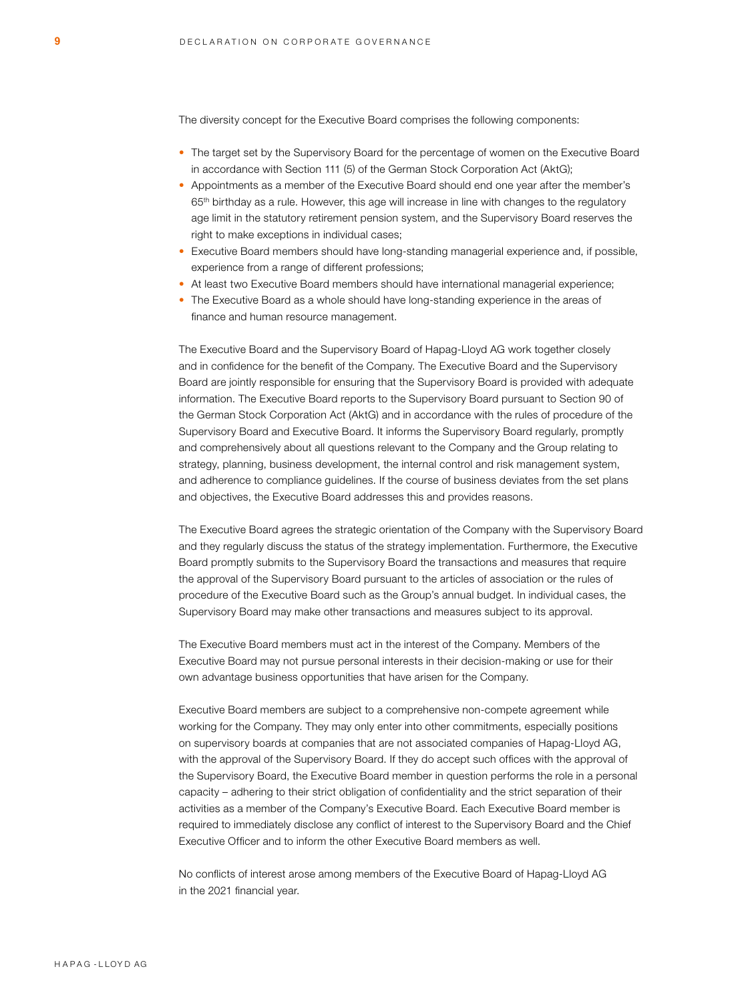The diversity concept for the Executive Board comprises the following components:

- The target set by the Supervisory Board for the percentage of women on the Executive Board in accordance with Section 111 (5) of the German Stock Corporation Act (AktG);
- Appointments as a member of the Executive Board should end one year after the member's 65th birthday as a rule. However, this age will increase in line with changes to the regulatory age limit in the statutory retirement pension system, and the Supervisory Board reserves the right to make exceptions in individual cases;
- Executive Board members should have long-standing managerial experience and, if possible, experience from a range of different professions;
- At least two Executive Board members should have international managerial experience:
- The Executive Board as a whole should have long-standing experience in the areas of finance and human resource management.

The Executive Board and the Supervisory Board of Hapag-Lloyd AG work together closely and in confidence for the benefit of the Company. The Executive Board and the Supervisory Board are jointly responsible for ensuring that the Supervisory Board is provided with adequate information. The Executive Board reports to the Supervisory Board pursuant to Section 90 of the German Stock Corporation Act (AktG) and in accordance with the rules of procedure of the Supervisory Board and Executive Board. It informs the Supervisory Board regularly, promptly and comprehensively about all questions relevant to the Company and the Group relating to strategy, planning, business development, the internal control and risk management system, and adherence to compliance guidelines. If the course of business deviates from the set plans and objectives, the Executive Board addresses this and provides reasons.

The Executive Board agrees the strategic orientation of the Company with the Supervisory Board and they regularly discuss the status of the strategy implementation. Furthermore, the Executive Board promptly submits to the Supervisory Board the transactions and measures that require the approval of the Supervisory Board pursuant to the articles of association or the rules of procedure of the Executive Board such as the Group's annual budget. In individual cases, the Supervisory Board may make other transactions and measures subject to its approval.

The Executive Board members must act in the interest of the Company. Members of the Executive Board may not pursue personal interests in their decision-making or use for their own advantage business opportunities that have arisen for the Company.

Executive Board members are subject to a comprehensive non-compete agreement while working for the Company. They may only enter into other commitments, especially positions on supervisory boards at companies that are not associated companies of Hapag-Lloyd AG, with the approval of the Supervisory Board. If they do accept such offices with the approval of the Supervisory Board, the Executive Board member in question performs the role in a personal capacity – adhering to their strict obligation of confidentiality and the strict separation of their activities as a member of the Company's Executive Board. Each Executive Board member is required to immediately disclose any conflict of interest to the Supervisory Board and the Chief Executive Officer and to inform the other Executive Board members as well.

No conflicts of interest arose among members of the Executive Board of Hapag-Lloyd AG in the 2021 financial year.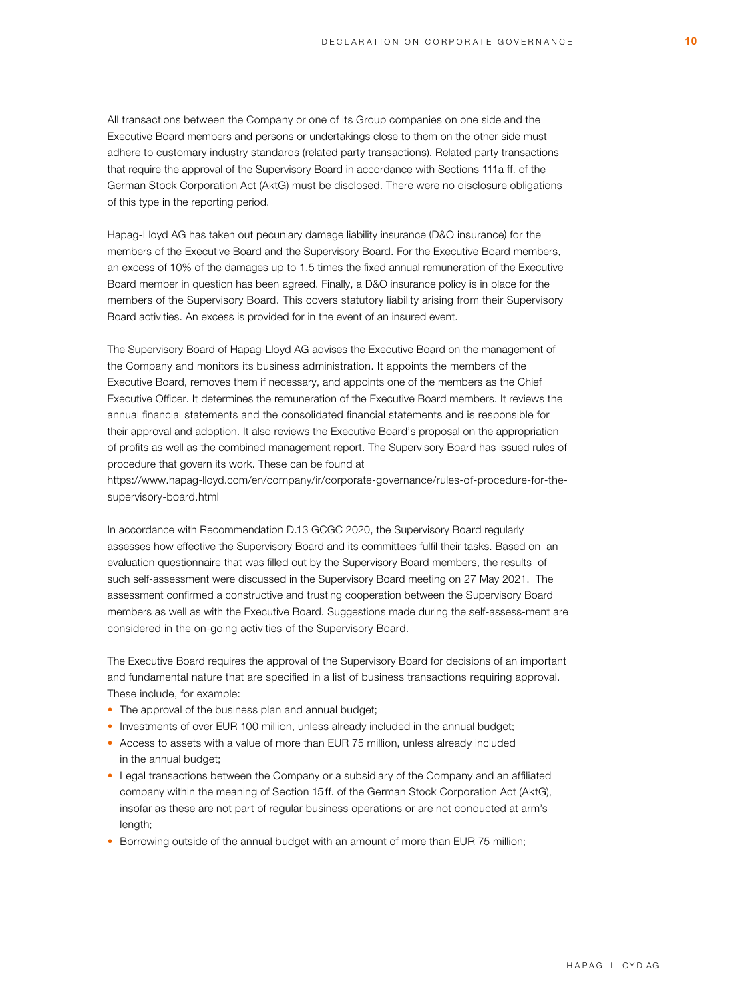All transactions between the Company or one of its Group companies on one side and the Executive Board members and persons or undertakings close to them on the other side must adhere to customary industry standards (related party transactions). Related party transactions that require the approval of the Supervisory Board in accordance with Sections 111a ff. of the German Stock Corporation Act (AktG) must be disclosed. There were no disclosure obligations of this type in the reporting period.

Hapag-Lloyd AG has taken out pecuniary damage liability insurance (D&O insurance) for the members of the Executive Board and the Supervisory Board. For the Executive Board members, an excess of 10% of the damages up to 1.5 times the fixed annual remuneration of the Executive Board member in question has been agreed. Finally, a D&O insurance policy is in place for the members of the Supervisory Board. This covers statutory liability arising from their Supervisory Board activities. An excess is provided for in the event of an insured event.

The Supervisory Board of Hapag-Lloyd AG advises the Executive Board on the management of the Company and monitors its business administration. It appoints the members of the Executive Board, removes them if necessary, and appoints one of the members as the Chief Executive Officer. It determines the remuneration of the Executive Board members. It reviews the annual financial statements and the consolidated financial statements and is responsible for their approval and adoption. It also reviews the Executive Board's proposal on the appropriation of profits as well as the combined management report. The Supervisory Board has issued rules of procedure that govern its work. These can be found at

[https://www.hapag-lloyd.com/en/company/ir/corporate-governance/rules-of-procedure-for-the](https://www.hapag-lloyd.com/en/company/ir/corporate-governance/rules-of-procedure-for-the-supervisory-board.html)supervisory-board.html

In accordance with Recommendation D.13 GCGC 2020, the Supervisory Board regularly assesses how effective the Supervisory Board and its committees fulfil their tasks. Based on an evaluation questionnaire that was filled out by the Supervisory Board members, the results of such self-assessment were discussed in the Supervisory Board meeting on 27 May 2021. The assessment confirmed a constructive and trusting cooperation between the Supervisory Board members as well as with the Executive Board. Suggestions made during the self-assess-ment are considered in the on-going activities of the Supervisory Board.

The Executive Board requires the approval of the Supervisory Board for decisions of an important and fundamental nature that are specified in a list of business transactions requiring approval. These include, for example:

- The approval of the business plan and annual budget;
- Investments of over EUR 100 million, unless already included in the annual budget;
- Access to assets with a value of more than EUR 75 million, unless already included in the annual budget;
- Legal transactions between the Company or a subsidiary of the Company and an affiliated company within the meaning of Section 15 ff. of the German Stock Corporation Act (AktG), insofar as these are not part of regular business operations or are not conducted at arm's length;
- Borrowing outside of the annual budget with an amount of more than EUR 75 million;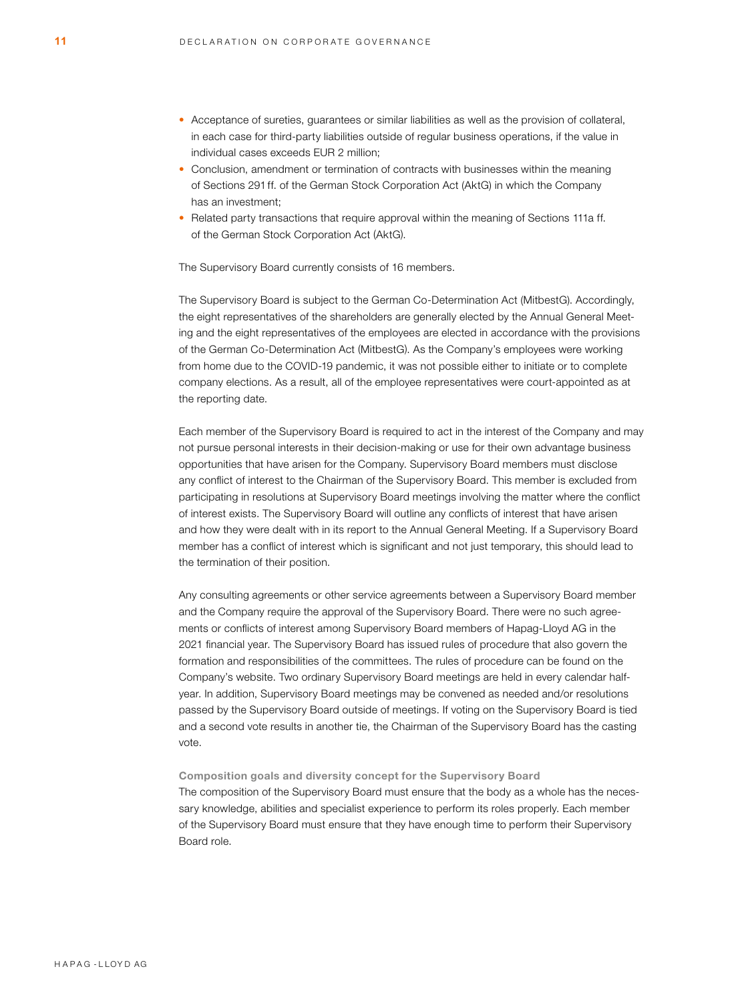- Acceptance of sureties, guarantees or similar liabilities as well as the provision of collateral, in each case for third-party liabilities outside of regular business operations, if the value in individual cases exceeds EUR 2 million;
- Conclusion, amendment or termination of contracts with businesses within the meaning of Sections 291 ff. of the German Stock Corporation Act (AktG) in which the Company has an investment;
- Related party transactions that require approval within the meaning of Sections 111a ff. of the German Stock Corporation Act (AktG).

The Supervisory Board currently consists of 16 members.

The Supervisory Board is subject to the German Co-Determination Act (MitbestG). Accordingly, the eight representatives of the shareholders are generally elected by the Annual General Meeting and the eight representatives of the employees are elected in accordance with the provisions of the German Co-Determination Act (MitbestG). As the Company's employees were working from home due to the COVID-19 pandemic, it was not possible either to initiate or to complete company elections. As a result, all of the employee representatives were court-appointed as at the reporting date.

Each member of the Supervisory Board is required to act in the interest of the Company and may not pursue personal interests in their decision-making or use for their own advantage business opportunities that have arisen for the Company. Supervisory Board members must disclose any conflict of interest to the Chairman of the Supervisory Board. This member is excluded from participating in resolutions at Supervisory Board meetings involving the matter where the conflict of interest exists. The Supervisory Board will outline any conflicts of interest that have arisen and how they were dealt with in its report to the Annual General Meeting. If a Supervisory Board member has a conflict of interest which is significant and not just temporary, this should lead to the termination of their position.

Any consulting agreements or other service agreements between a Supervisory Board member and the Company require the approval of the Supervisory Board. There were no such agreements or conflicts of interest among Supervisory Board members of Hapag-Lloyd AG in the 2021 financial year. The Supervisory Board has issued rules of procedure that also govern the formation and responsibilities of the committees. The rules of procedure can be found on the Company's website. Two ordinary Supervisory Board meetings are held in every calendar halfyear. In addition, Supervisory Board meetings may be convened as needed and/or resolutions passed by the Supervisory Board outside of meetings. If voting on the Supervisory Board is tied and a second vote results in another tie, the Chairman of the Supervisory Board has the casting vote.

Composition goals and diversity concept for the Supervisory Board The composition of the Supervisory Board must ensure that the body as a whole has the necessary knowledge, abilities and specialist experience to perform its roles properly. Each member of the Supervisory Board must ensure that they have enough time to perform their Supervisory Board role.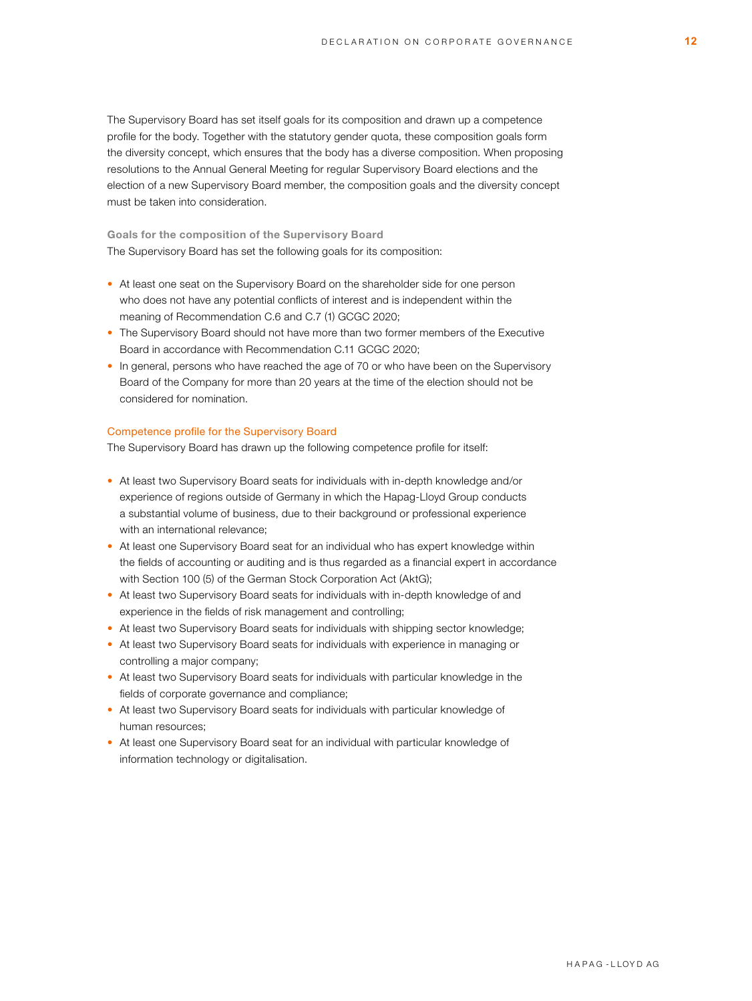The Supervisory Board has set itself goals for its composition and drawn up a competence profile for the body. Together with the statutory gender quota, these composition goals form the diversity concept, which ensures that the body has a diverse composition. When proposing resolutions to the Annual General Meeting for regular Supervisory Board elections and the election of a new Supervisory Board member, the composition goals and the diversity concept must be taken into consideration.

Goals for the composition of the Supervisory Board The Supervisory Board has set the following goals for its composition:

- At least one seat on the Supervisory Board on the shareholder side for one person who does not have any potential conflicts of interest and is independent within the meaning of Recommendation C.6 and C.7 (1) GCGC 2020;
- The Supervisory Board should not have more than two former members of the Executive Board in accordance with Recommendation C.11 GCGC 2020;
- In general, persons who have reached the age of 70 or who have been on the Supervisory Board of the Company for more than 20 years at the time of the election should not be considered for nomination.

# Competence profile for the Supervisory Board

The Supervisory Board has drawn up the following competence profile for itself:

- At least two Supervisory Board seats for individuals with in-depth knowledge and/or experience of regions outside of Germany in which the Hapag-Lloyd Group conducts a substantial volume of business, due to their background or professional experience with an international relevance;
- At least one Supervisory Board seat for an individual who has expert knowledge within the fields of accounting or auditing and is thus regarded as a financial expert in accordance with Section 100 (5) of the German Stock Corporation Act (AktG);
- At least two Supervisory Board seats for individuals with in-depth knowledge of and experience in the fields of risk management and controlling;
- At least two Supervisory Board seats for individuals with shipping sector knowledge;
- At least two Supervisory Board seats for individuals with experience in managing or controlling a major company;
- At least two Supervisory Board seats for individuals with particular knowledge in the fields of corporate governance and compliance;
- At least two Supervisory Board seats for individuals with particular knowledge of human resources;
- At least one Supervisory Board seat for an individual with particular knowledge of information technology or digitalisation.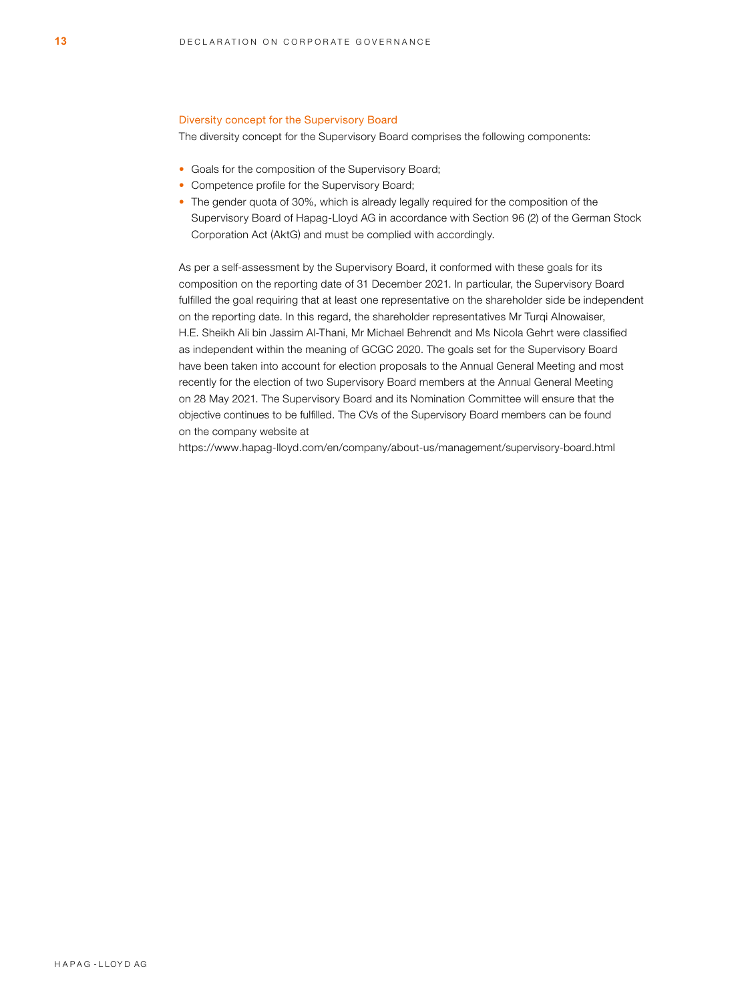# Diversity concept for the Supervisory Board

The diversity concept for the Supervisory Board comprises the following components:

- Goals for the composition of the Supervisory Board;
- Competence profile for the Supervisory Board;
- The gender quota of 30%, which is already legally required for the composition of the Supervisory Board of Hapag-Lloyd AG in accordance with Section 96 (2) of the German Stock Corporation Act (AktG) and must be complied with accordingly.

As per a self-assessment by the Supervisory Board, it conformed with these goals for its composition on the reporting date of 31 December 2021. In particular, the Supervisory Board fulfilled the goal requiring that at least one representative on the shareholder side be independent on the reporting date. In this regard, the shareholder representatives Mr Turqi Alnowaiser, H.E. Sheikh Ali bin Jassim Al-Thani, Mr Michael Behrendt and Ms Nicola Gehrt were classified as independent within the meaning of GCGC 2020. The goals set for the Supervisory Board have been taken into account for election proposals to the Annual General Meeting and most recently for the election of two Supervisory Board members at the Annual General Meeting on 28 May 2021. The Supervisory Board and its Nomination Committee will ensure that the objective continues to be fulfilled. The CVs of the Supervisory Board members can be found on the company website at

<https://www.hapag-lloyd.com/en/company/about-us/management/supervisory-board.html>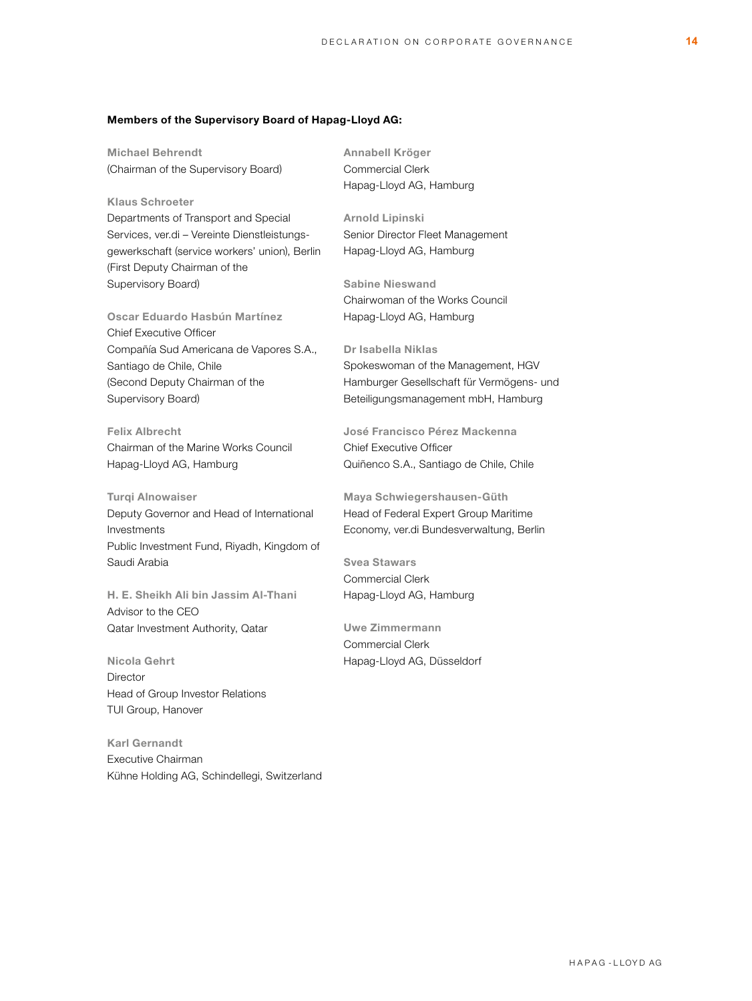# Members of the Supervisory Board of Hapag-Lloyd AG:

Michael Behrendt (Chairman of the Supervisory Board)

Klaus Schroeter Departments of Transport and Special Services, ver.di – Vereinte Dienstleistungsgewerkschaft (service workers' union), Berlin (First Deputy Chairman of the Supervisory Board)

Oscar Eduardo Hasbún Martínez Chief Executive Officer Compañía Sud Americana de Vapores S.A., Santiago de Chile, Chile (Second Deputy Chairman of the Supervisory Board)

Felix Albrecht Chairman of the Marine Works Council Hapag-Lloyd AG, Hamburg

Turqi Alnowaiser Deputy Governor and Head of International Investments Public Investment Fund, Riyadh, Kingdom of Saudi Arabia

H. E. Sheikh Ali bin Jassim Al-Thani Advisor to the CEO Qatar Investment Authority, Qatar

Nicola Gehrt **Director** Head of Group Investor Relations TUI Group, Hanover

Karl Gernandt Executive Chairman Kühne Holding AG, Schindellegi, Switzerland Annabell Kröger Commercial Clerk Hapag-Lloyd AG, Hamburg

Arnold Lipinski Senior Director Fleet Management Hapag-Lloyd AG, Hamburg

Sabine Nieswand Chairwoman of the Works Council Hapag-Lloyd AG, Hamburg

Dr Isabella Niklas Spokeswoman of the Management, HGV Hamburger Gesellschaft für Vermögens- und Beteiligungsmanagement mbH, Hamburg

José Francisco Pérez Mackenna Chief Executive Officer Quiñenco S.A., Santiago de Chile, Chile

Maya Schwiegershausen-Güth Head of Federal Expert Group Maritime Economy, ver.di Bundesverwaltung, Berlin

Svea Stawars Commercial Clerk Hapag-Lloyd AG, Hamburg

Uwe Zimmermann Commercial Clerk Hapag-Lloyd AG, Düsseldorf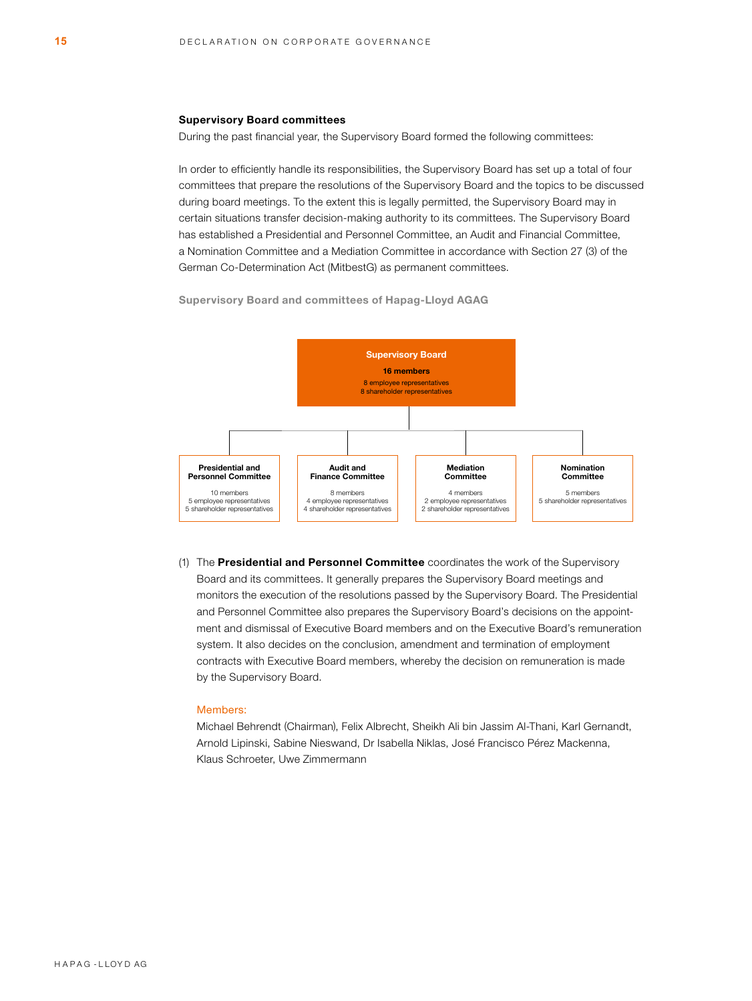#### Supervisory Board committees

During the past financial year, the Supervisory Board formed the following committees:

In order to efficiently handle its responsibilities, the Supervisory Board has set up a total of four committees that prepare the resolutions of the Supervisory Board and the topics to be discussed during board meetings. To the extent this is legally permitted, the Supervisory Board may in certain situations transfer decision-making authority to its committees. The Supervisory Board has established a Presidential and Personnel Committee, an Audit and Financial Committee, a Nomination Committee and a Mediation Committee in accordance with Section 27 (3) of the German Co-Determination Act (MitbestG) as permanent committees.



Supervisory Board and committees of Hapag-Lloyd AGAG

(1) The Presidential and Personnel Committee coordinates the work of the Supervisory Board and its committees. It generally prepares the Supervisory Board meetings and monitors the execution of the resolutions passed by the Supervisory Board. The Presidential and Personnel Committee also prepares the Supervisory Board's decisions on the appointment and dismissal of Executive Board members and on the Executive Board's remuneration system. It also decides on the conclusion, amendment and termination of employment contracts with Executive Board members, whereby the decision on remuneration is made by the Supervisory Board.

## Members:

Michael Behrendt (Chairman), Felix Albrecht, Sheikh Ali bin Jassim Al-Thani, Karl Gernandt, Arnold Lipinski, Sabine Nieswand, Dr Isabella Niklas, José Francisco Pérez Mackenna, Klaus Schroeter, Uwe Zimmermann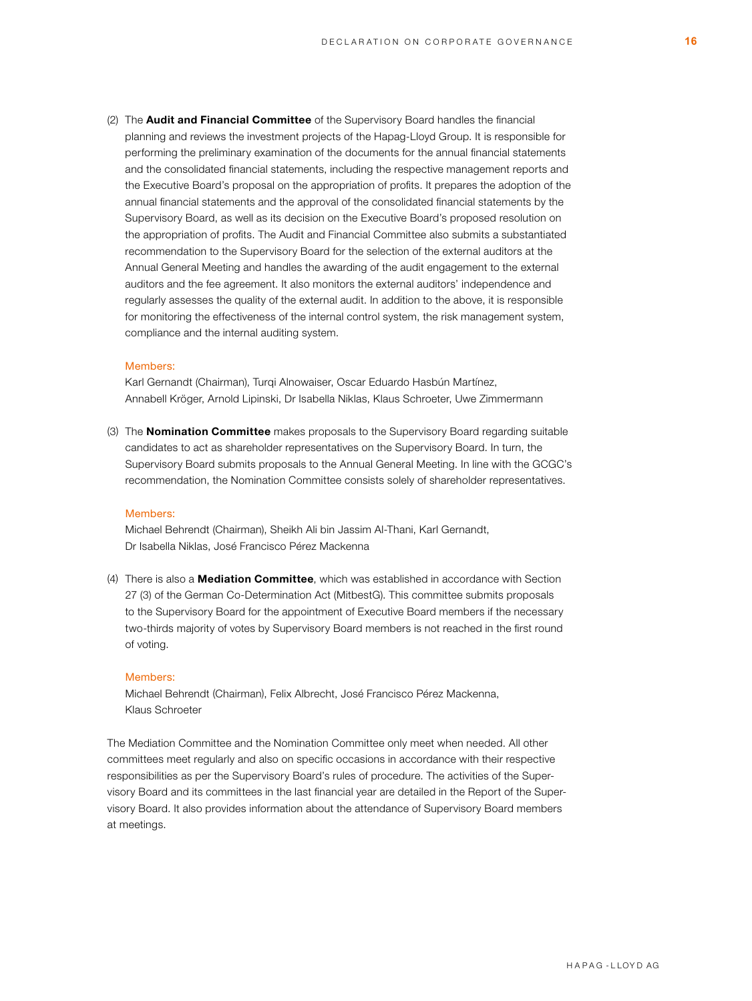(2) The **Audit and Financial Committee** of the Supervisory Board handles the financial planning and reviews the investment projects of the Hapag-Lloyd Group. It is responsible for performing the preliminary examination of the documents for the annual financial statements and the consolidated financial statements, including the respective management reports and the Executive Board's proposal on the appropriation of profits. It prepares the adoption of the annual financial statements and the approval of the consolidated financial statements by the Supervisory Board, as well as its decision on the Executive Board's proposed resolution on the appropriation of profits. The Audit and Financial Committee also submits a substantiated recommendation to the Supervisory Board for the selection of the external auditors at the Annual General Meeting and handles the awarding of the audit engagement to the external auditors and the fee agreement. It also monitors the external auditors' independence and regularly assesses the quality of the external audit. In addition to the above, it is responsible for monitoring the effectiveness of the internal control system, the risk management system, compliance and the internal auditing system.

#### Members:

Karl Gernandt (Chairman), Turqi Alnowaiser, Oscar Eduardo Hasbún Martínez, Annabell Kröger, Arnold Lipinski, Dr Isabella Niklas, Klaus Schroeter, Uwe Zimmermann

(3) The **Nomination Committee** makes proposals to the Supervisory Board regarding suitable candidates to act as shareholder representatives on the Supervisory Board. In turn, the Supervisory Board submits proposals to the Annual General Meeting. In line with the GCGC's recommendation, the Nomination Committee consists solely of shareholder representatives.

#### Members:

Michael Behrendt (Chairman), Sheikh Ali bin Jassim Al-Thani, Karl Gernandt, Dr Isabella Niklas, José Francisco Pérez Mackenna

(4) There is also a **Mediation Committee**, which was established in accordance with Section 27 (3) of the German Co-Determination Act (MitbestG). This committee submits proposals to the Supervisory Board for the appointment of Executive Board members if the necessary two-thirds majority of votes by Supervisory Board members is not reached in the first round of voting.

#### Members:

Michael Behrendt (Chairman), Felix Albrecht, José Francisco Pérez Mackenna, Klaus Schroeter

The Mediation Committee and the Nomination Committee only meet when needed. All other committees meet regularly and also on specific occasions in accordance with their respective responsibilities as per the Supervisory Board's rules of procedure. The activities of the Supervisory Board and its committees in the last financial year are detailed in the Report of the Supervisory Board. It also provides information about the attendance of Supervisory Board members at meetings.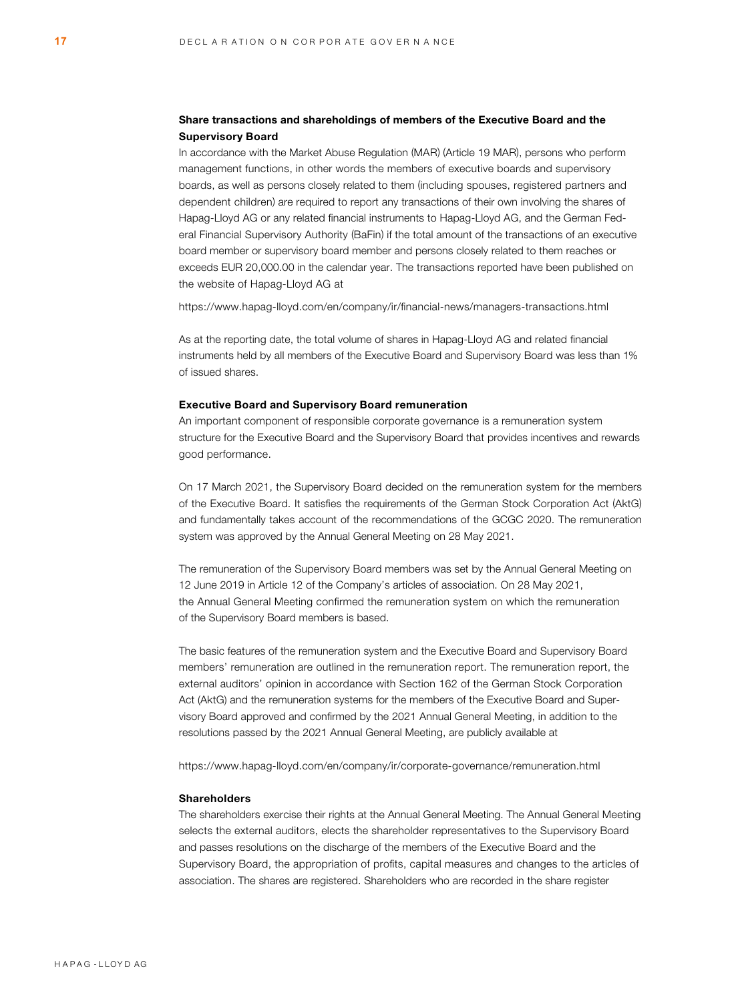# Share transactions and shareholdings of members of the Executive Board and the Supervisory Board

In accordance with the Market Abuse Regulation (MAR) (Article 19 MAR), persons who perform management functions, in other words the members of executive boards and supervisory boards, as well as persons closely related to them (including spouses, registered partners and dependent children) are required to report any transactions of their own involving the shares of Hapag-Lloyd AG or any related financial instruments to Hapag-Lloyd AG, and the German Federal Financial Supervisory Authority (BaFin) if the total amount of the transactions of an executive board member or supervisory board member and persons closely related to them reaches or exceeds EUR 20,000.00 in the calendar year. The transactions reported have been published on the website of Hapag-Lloyd AG at

<https://www.hapag-lloyd.com/en/company/ir/financial-news/managers-transactions.html>

As at the reporting date, the total volume of shares in Hapag-Lloyd AG and related financial instruments held by all members of the Executive Board and Supervisory Board was less than 1% of issued shares.

#### Executive Board and Supervisory Board remuneration

An important component of responsible corporate governance is a remuneration system structure for the Executive Board and the Supervisory Board that provides incentives and rewards good performance.

On 17 March 2021, the Supervisory Board decided on the remuneration system for the members of the Executive Board. It satisfies the requirements of the German Stock Corporation Act (AktG) and fundamentally takes account of the recommendations of the GCGC 2020. The remuneration system was approved by the Annual General Meeting on 28 May 2021.

The remuneration of the Supervisory Board members was set by the Annual General Meeting on 12 June 2019 in Article 12 of the Company's articles of association. On 28 May 2021, the Annual General Meeting confirmed the remuneration system on which the remuneration of the Supervisory Board members is based.

The basic features of the remuneration system and the Executive Board and Supervisory Board members' remuneration are outlined in the remuneration report. The remuneration report, the external auditors' opinion in accordance with Section 162 of the German Stock Corporation Act (AktG) and the remuneration systems for the members of the Executive Board and Supervisory Board approved and confirmed by the 2021 Annual General Meeting, in addition to the resolutions passed by the 2021 Annual General Meeting, are publicly available at

<https://www.hapag-lloyd.com/en/company/ir/corporate-governance/remuneration.html>

# Shareholders

The shareholders exercise their rights at the Annual General Meeting. The Annual General Meeting selects the external auditors, elects the shareholder representatives to the Supervisory Board and passes resolutions on the discharge of the members of the Executive Board and the Supervisory Board, the appropriation of profits, capital measures and changes to the articles of association. The shares are registered. Shareholders who are recorded in the share register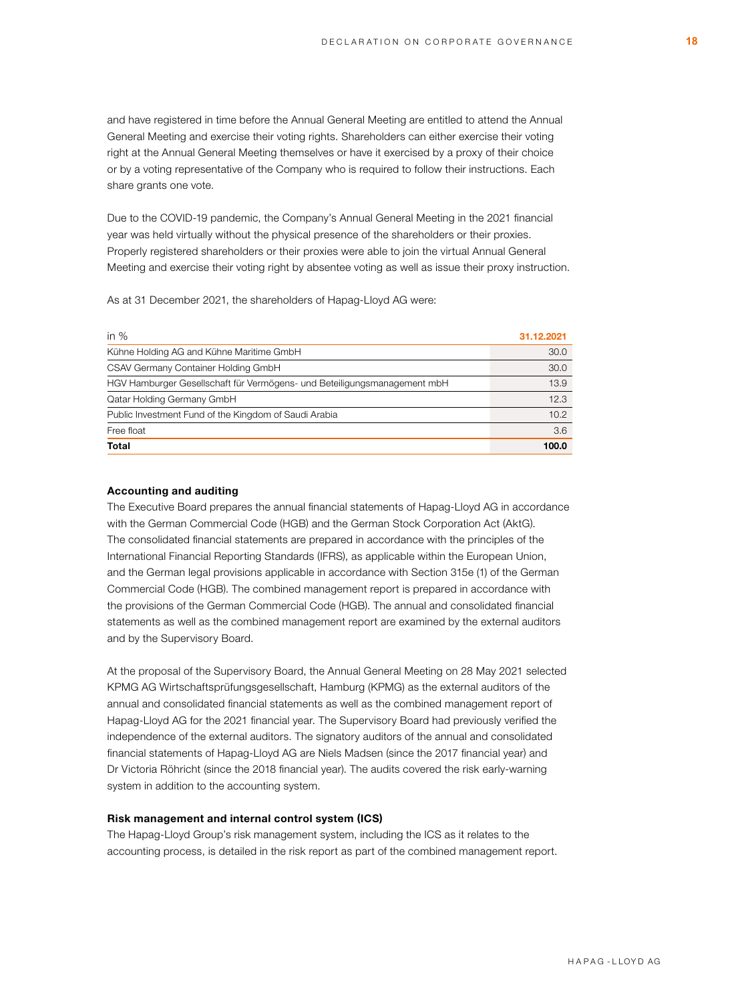and have registered in time before the Annual General Meeting are entitled to attend the Annual General Meeting and exercise their voting rights. Shareholders can either exercise their voting right at the Annual General Meeting themselves or have it exercised by a proxy of their choice or by a voting representative of the Company who is required to follow their instructions. Each share grants one vote.

Due to the COVID-19 pandemic, the Company's Annual General Meeting in the 2021 financial year was held virtually without the physical presence of the shareholders or their proxies. Properly registered shareholders or their proxies were able to join the virtual Annual General Meeting and exercise their voting right by absentee voting as well as issue their proxy instruction.

As at 31 December 2021, the shareholders of Hapag-Lloyd AG were:

| in $%$                                                                   | 31.12.2021 |
|--------------------------------------------------------------------------|------------|
| Kühne Holding AG and Kühne Maritime GmbH                                 | 30.0       |
| CSAV Germany Container Holding GmbH                                      | 30.0       |
| HGV Hamburger Gesellschaft für Vermögens- und Beteiligungsmanagement mbH | 13.9       |
| Qatar Holding Germany GmbH                                               | 12.3       |
| Public Investment Fund of the Kingdom of Saudi Arabia                    | 10.2       |
| Free float                                                               | 3.6        |
| Total                                                                    | 100.0      |

## Accounting and auditing

The Executive Board prepares the annual financial statements of Hapag-Lloyd AG in accordance with the German Commercial Code (HGB) and the German Stock Corporation Act (AktG). The consolidated financial statements are prepared in accordance with the principles of the International Financial Reporting Standards (IFRS), as applicable within the European Union, and the German legal provisions applicable in accordance with Section 315e (1) of the German Commercial Code (HGB). The combined management report is prepared in accordance with the provisions of the German Commercial Code (HGB). The annual and consolidated financial statements as well as the combined management report are examined by the external auditors and by the Supervisory Board.

At the proposal of the Supervisory Board, the Annual General Meeting on 28 May 2021 selected KPMG AG Wirtschaftsprüfungsgesellschaft, Hamburg (KPMG) as the external auditors of the annual and consolidated financial statements as well as the combined management report of Hapag-Lloyd AG for the 2021 financial year. The Supervisory Board had previously verified the independence of the external auditors. The signatory auditors of the annual and consolidated financial statements of Hapag-Lloyd AG are Niels Madsen (since the 2017 financial year) and Dr Victoria Röhricht (since the 2018 financial year). The audits covered the risk early-warning system in addition to the accounting system.

# Risk management and internal control system (ICS)

The Hapag-Lloyd Group's risk management system, including the ICS as it relates to the accounting process, is detailed in the risk report as part of the combined management report.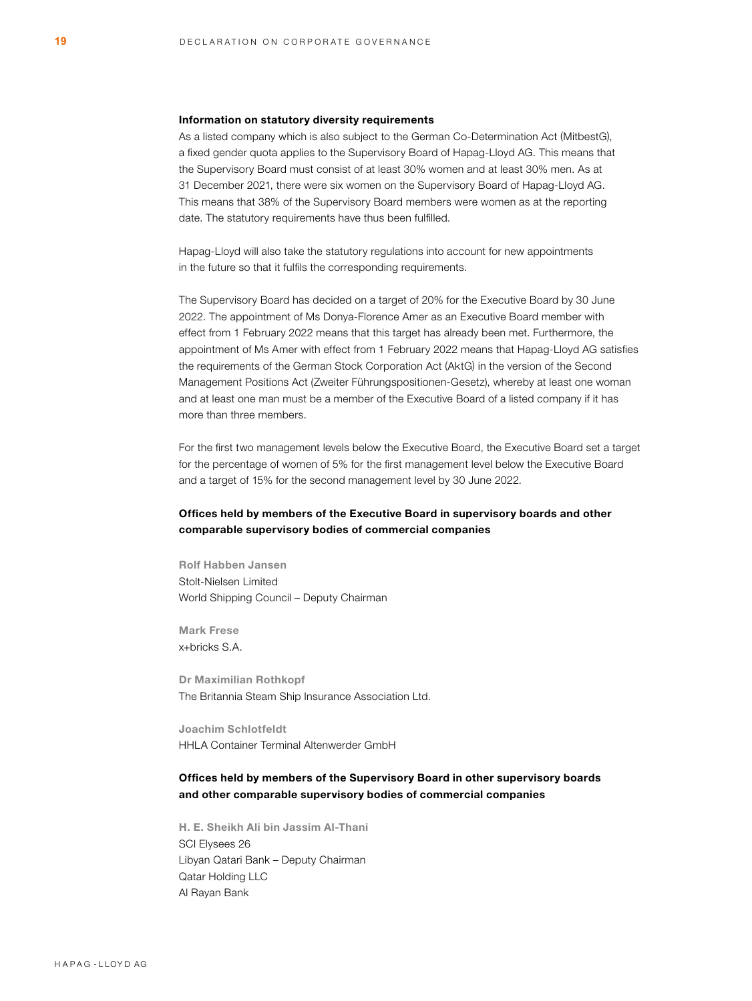#### Information on statutory diversity requirements

As a listed company which is also subject to the German Co-Determination Act (MitbestG), a fixed gender quota applies to the Supervisory Board of Hapag-Lloyd AG. This means that the Supervisory Board must consist of at least 30% women and at least 30% men. As at 31 December 2021, there were six women on the Supervisory Board of Hapag-Lloyd AG. This means that 38% of the Supervisory Board members were women as at the reporting date. The statutory requirements have thus been fulfilled.

Hapag-Lloyd will also take the statutory regulations into account for new appointments in the future so that it fulfils the corresponding requirements.

The Supervisory Board has decided on a target of 20% for the Executive Board by 30 June 2022. The appointment of Ms Donya-Florence Amer as an Executive Board member with effect from 1 February 2022 means that this target has already been met. Furthermore, the appointment of Ms Amer with effect from 1 February 2022 means that Hapag-Lloyd AG satisfies the requirements of the German Stock Corporation Act (AktG) in the version of the Second Management Positions Act (Zweiter Führungspositionen-Gesetz), whereby at least one woman and at least one man must be a member of the Executive Board of a listed company if it has more than three members.

For the first two management levels below the Executive Board, the Executive Board set a target for the percentage of women of 5% for the first management level below the Executive Board and a target of 15% for the second management level by 30 June 2022.

# Offices held by members of the Executive Board in supervisory boards and other comparable supervisory bodies of commercial companies

Rolf Habben Jansen Stolt-Nielsen Limited World Shipping Council – Deputy Chairman

Mark Frese x+bricks S.A.

Dr Maximilian Rothkopf The Britannia Steam Ship Insurance Association Ltd.

Joachim Schlotfeldt HHLA Container Terminal Altenwerder GmbH

# Offices held by members of the Supervisory Board in other supervisory boards and other comparable supervisory bodies of commercial companies

H. E. Sheikh Ali bin Jassim Al-Thani SCI Elysees 26 Libyan Qatari Bank – Deputy Chairman Qatar Holding LLC Al Rayan Bank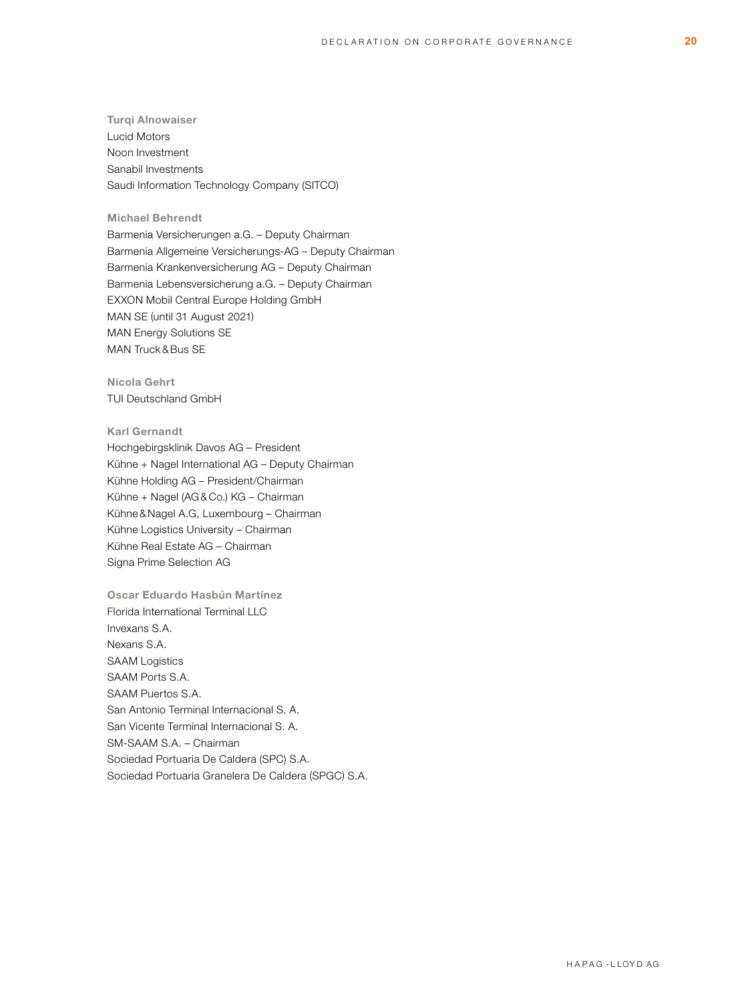Turqi Alnowaiser Lucid Motors Noon Investment Sanabil Investments Saudi Information Technology Company (SITCO)

# Michael Behrendt

Barmenia Versicherungen a.G. – Deputy Chairman Barmenia Allgemeine Versicherungs-AG – Deputy Chairman Barmenia Krankenversicherung AG – Deputy Chairman Barmenia Lebensversicherung a.G. – Deputy Chairman EXXON Mobil Central Europe Holding GmbH MAN SE (until 31 August 2021) MAN Energy Solutions SE MAN Truck & Bus SE

Nicola Gehrt TUI Deutschland GmbH

# Karl Gernandt

Hochgebirgsklinik Davos AG – President Kühne + Nagel International AG – Deputy Chairman Kühne Holding AG – President/Chairman Kühne + Nagel (AG & Co.) KG – Chairman Kühne & Nagel A.G, Luxembourg – Chairman Kühne Logistics University – Chairman Kühne Real Estate AG – Chairman Signa Prime Selection AG

Oscar Eduardo Hasbún Martínez Florida International Terminal LLC Invexans S.A. Nexans S.A. SAAM Logistics SAAM Ports S.A. SAAM Puertos S.A. San Antonio Terminal Internacional S. A. San Vicente Terminal Internacional S. A. SM-SAAM S.A. – Chairman Sociedad Portuaria De Caldera (SPC) S.A. Sociedad Portuaria Granelera De Caldera (SPGC) S.A.